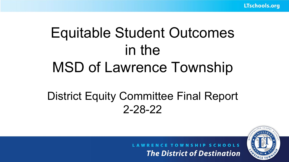# Equitable Student Outcomes in the MSD of Lawrence Township

## District Equity Committee Final Report 2-28-22

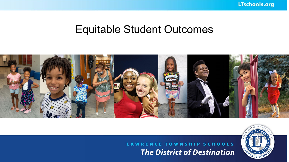LTschools.org

## Equitable Student Outcomes



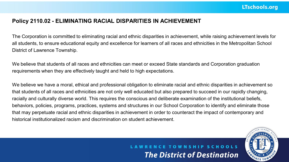### **Policy 2110.02 - ELIMINATING RACIAL DISPARITIES IN ACHIEVEMENT**

The Corporation is committed to eliminating racial and ethnic disparities in achievement, while raising achievement levels for all students, to ensure educational equity and excellence for learners of all races and ethnicities in the Metropolitan School District of Lawrence Township.

We believe that students of all races and ethnicities can meet or exceed State standards and Corporation graduation requirements when they are effectively taught and held to high expectations.

We believe we have a moral, ethical and professional obligation to eliminate racial and ethnic disparities in achievement so that students of all races and ethnicities are not only well educated but also prepared to succeed in our rapidly changing, racially and culturally diverse world. This requires the conscious and deliberate examination of the institutional beliefs, behaviors, policies, programs, practices, systems and structures in our School Corporation to identify and eliminate those that may perpetuate racial and ethnic disparities in achievement in order to counteract the impact of contemporary and historical institutionalized racism and discrimination on student achievement.

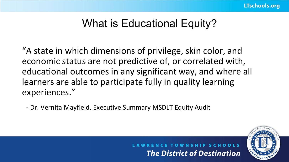## What is Educational Equity?

"A state in which dimensions of privilege, skin color, and economic status are not predictive of, or correlated with, educational outcomes in any significant way, and where all learners are able to participate fully in quality learning experiences."

- Dr. Vernita Mayfield, Executive Summary MSDLT Equity Audit



**WNSHIP SCHOOLS The District of Destination**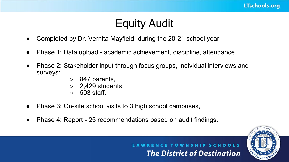## Equity Audit

- Completed by Dr. Vernita Mayfield, during the 20-21 school year,
- Phase 1: Data upload academic achievement, discipline, attendance,
- Phase 2: Stakeholder input through focus groups, individual interviews and surveys:
	- 847 parents,
	- 2,429 students,
	- $\circ$  503 staff.
- Phase 3: On-site school visits to 3 high school campuses,
- Phase 4: Report 25 recommendations based on audit findings.

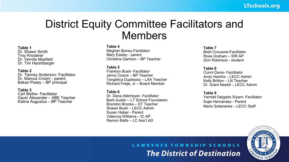## District Equity Committee Facilitators and Members

#### **Table 1**

Dr. Shawn Smith Troy Knoderer Dr. Vernita Mayfield Dr. Tim Harshbarger

#### **Table 2**

Dr. Tierney Anderson- Facilitator Dr. Marcus Croom - parent Bakari Posey – BP principal

#### **Table 3**

Carl Blythe- Facilitator Gavin Alexander – ABE Teacher Katina Augustus – BP Teacher

#### **Table 4**

Meghan Boney-Facilitator Mary Easley - parent Christina Garmon – BP Teacher

#### **Table 5**

Franklyn Bush- Facilitator Jenny Coons – BP Teacher Tangelica Duplessis – LAA Teacher Richard Freije, Jr – Board Member

#### **Table 6**

Dr. Dana Altemeyer- Facilitator Barb Austin – LT School Foundation Brandon Brooks – ST Teacher Shawn Bush – LECC Admin Susan Haber - Parent Valencia Williams – IC AP Ramon Batts – LC Ass't AD

#### **Table 7**

Brett Crousore-Facilitator Rose Graham – WR AP Zion Robinson - student

#### **Table 8**

Conni Davis- Facilitator Andy Harsha – LECC Admin Kelly Britton – LN Teacher Dr. Grant Nesbit – LECC Admin

#### **Table 9**

Yamilet Delgado Siyam- Facilitator Sujei Hernandez - Parent Mario Soberanes – LECC Staff

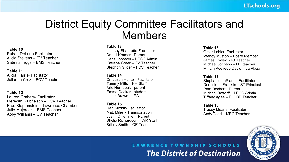## District Equity Committee Facilitators and Members

#### **Table 10**

Ruben DeLuna-Facilitator Alicia Stevens – CV Teacher Sabrina Tiggs – BMS Teacher

**Table 11** Alicia Harris- Facilitator Julianna Cruz – FCV Teacher

#### **Table 12**

Lauren Graham- Facilitator Meredith Kalbfleisch – FCV Teacher Brad Klopfenstein – Lawrence Chamber Julie Majercak – BMS Teacher Abby Williams – CV Teacher

#### **Table 13**

Lindsey Shaurette-Facilitator Dr. Jill Kramer - Parent Carla Johnson – LECC Admin Katrena Greer – CV Teacher Stephon Gilder – FCV Teacher

#### **Table 14**

Dr. Justin Hunter- Facilitator Tammy Mills – HH Staff Arie Hornbeak - parent Emma Decker - student Justin Brown - LEA

#### **Table 15** Dan Kuznik- Facilitator Matt Miles - Transportation Justin Ohlemiller - Parent Shelia Richardson – WR Staff Brittny Smith – OE Teacher

#### **Table 16**

Omar Lahlou-Facilitator Wendy Muston – Board Member James Towey - IC Teacher Michael Johnson – HH teacher Miriam Acevedo Davis – La Plaza

#### **Table 17**

Stephanie LaPlante- Facilitator Dominique Franklin – ST Principal Pam Dechert - Parent Michael Bottorff – LECC Admin Tiffany Agee – ELCBP Teacher

#### **Table 18**

Tracey Means- Facilitator Andy Todd – MEC Teacher

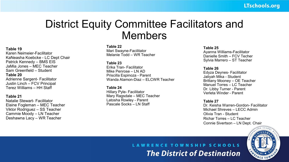## District Equity Committee Facilitators and Members

#### **Table 19**

Karen Neimeier-Facilitator KaNeasha Koebcke - LC Dept Chair Patrick Kennedy – BMS EIS JaMia Jones – MEC Teacher Sam Greenfield – Student **Table 20** Adrienne Sargent- Facilitator Justin Linch – FCV Principal Terez Williams – HH Staff

#### **Table 21**

Natalie Stewart- Facilitator Elaine Fogleman – MEC Teacher Viktor Rodriguez – SS Teacher Cammie Moody – LN Teacher Deshawna Lacy – WR Teacher

#### **Table 22**

Mari Swayne-Facilitator Melanie Todd – WR Teacher

#### **Table 23**

Erika Tran- Facilitator Mike Penrose – LN AD Priscilla Espinoza - Parent Wanda Alamon-Diaz – ELCWR Teacher

#### **Table 24**

Hillary Pyle- Facilitator Mary Ragsdale – MEC Teacher Latosha Rowley - Parent Pascale Socks – LN Staff

#### **Table 25**

Ayanna Williams-Facilitator Danielle Smith – FCV Techer Sylvia Marrero – ST Teacher

#### **Table 26**

Edyza Deynes- Facilitator Jaliyah Mika - Student Brittany Mooney – OE Teacher Manuel Torres – LC Teacher Dr. Libby Turner - Parent Verleta Winder - Parent

#### **Table 27**

Dr. Keisha Warren-Gordon- Facilitator Michael Shreves – LECC Admin Olivia Tran - Student Richar Torres – LC Teacher Connie Sivertson – LN Dept. Chair

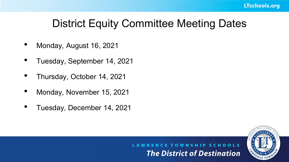## District Equity Committee Meeting Dates

- Monday, August 16, 2021
- Tuesday, September 14, 2021
- Thursday, October 14, 2021
- Monday, November 15, 2021
- Tuesday, December 14, 2021

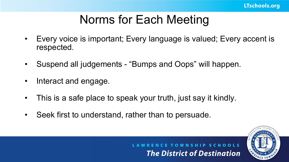## Norms for Each Meeting

- Every voice is important; Every language is valued; Every accent is respected.
- Suspend all judgements "Bumps and Oops" will happen.
- Interact and engage.
- This is a safe place to speak your truth, just say it kindly.
- Seek first to understand, rather than to persuade.

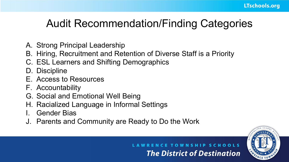## Audit Recommendation/Finding Categories

- A. Strong Principal Leadership
- B. Hiring, Recruitment and Retention of Diverse Staff is a Priority
- C. ESL Learners and Shifting Demographics
- D. Discipline
- E. Access to Resources
- F. Accountability
- G. Social and Emotional Well Being
- H. Racialized Language in Informal Settings
- Gender Bias
- J. Parents and Community are Ready to Do the Work



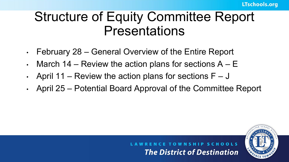## Structure of Equity Committee Report Presentations

- February 28 General Overview of the Entire Report
- March 14 Review the action plans for sections  $A E$
- April 11 Review the action plans for sections  $F J$
- April 25 Potential Board Approval of the Committee Report

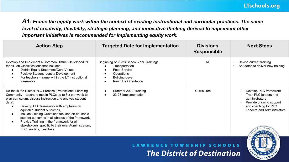*A1: Frame the equity work within the context of existing instructional and curricular practices. The same level of creativity, flexibility, strategic planning, and innovative thinking derived to implement other important initiatives is recommended for implementing equity work.*

| <b>Action Step</b>                                                                                                                                                                                                                                                                                                                                                                                                                                                                                                 | <b>Targeted Date for Implementation</b>                                                                                                               | <b>Divisions</b><br><b>Responsible</b> | <b>Next Steps</b>                                                                                                                                 |
|--------------------------------------------------------------------------------------------------------------------------------------------------------------------------------------------------------------------------------------------------------------------------------------------------------------------------------------------------------------------------------------------------------------------------------------------------------------------------------------------------------------------|-------------------------------------------------------------------------------------------------------------------------------------------------------|----------------------------------------|---------------------------------------------------------------------------------------------------------------------------------------------------|
| Develop and Implement a Common District-Developed PD<br>for all Job Classifications that includes:<br>District Equity Statement/Core Values<br>Positive Student Identity Development<br>For teachers - frame within the LT instructional<br>framework                                                                                                                                                                                                                                                              | Beginning of 22-23 School Year Trainings:<br>Transportation<br>Food Service<br>$\bullet$<br>Operations<br>٠<br>Building-Level<br>New Hire Orientation | All                                    | Revise current training<br>Set dates to deliver new training<br>$\bullet$                                                                         |
| Re-focus the District PLC Process (Professional Learning<br>Community – teachers met in PLCs up to 3 x per week to<br>plan curriculum, discuss instruction and analyze student<br>data):<br>Develop PLC framework with emphasis on<br>equitable student outcomes,<br>Include Guiding Questions focused on equitable<br>student outcomes in all phases of the framework,<br>Provide Training in the framework for all<br>$\bullet$<br>stakeholders specific to their role: Administrators,<br>PLC Leaders, Teachers | Summer 2022 Training<br>$\bullet$<br>22-23 Implementation                                                                                             | Curriculum                             | Develop PLC framework<br>Train PLC leaders and<br>administrators<br>Provide ongoing support<br>and coaching for PLC<br>Leaders and Administrators |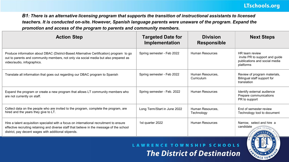*B1: There is an alternative licensing program that supports the transition of instructional assistants to licensed teachers. It is conducted on-site. However, Spanish language parents were unaware of the program. Expand the promotion and access of the program to parents and community members.*

| <b>Action Step</b>                                                                                                                                                                                                                             | <b>Targeted Date for</b><br>Implementation | <b>Division</b><br><b>Responsible</b> | <b>Next Steps</b>                                                                              |
|------------------------------------------------------------------------------------------------------------------------------------------------------------------------------------------------------------------------------------------------|--------------------------------------------|---------------------------------------|------------------------------------------------------------------------------------------------|
| Produce information about DBAC (District-Based Alternative Certification) program to go<br>out to parents and community members, not only via social media but also prepared as<br>video/audio, infographics.                                  | Spring semester - Feb 2022                 | Human Resources                       | HR team review<br>invite PR to support and guide<br>publications and social media<br>platforms |
| Translate all information that goes out regarding our DBAC program to Spanish                                                                                                                                                                  | Spring semester - Feb 2022                 | Human Resources,<br>Curriculum        | Review of program materials,<br>Bilingual staff support for<br>translation                     |
| Expand the program or create a new program that allows LT community members who<br>are not currently on staff.                                                                                                                                 | Spring semester - Feb. 2022                | Human Resources                       | Identify external audience<br>Prepare communications<br>PR to support                          |
| Collect data on the people who are invited to the program, complete the program, are<br>hired and the years they give to LT.                                                                                                                   | Long Term/Start in June 2022               | Human Resources,<br>Technology        | End of semester review<br>Technology tool to document                                          |
| Hire a talent acquisition specialist with a focus on international recruitment to ensure<br>effective recruiting retaining and diverse staff that believe in the message of the school<br>district, pay decent wages with additional stipends. | 1st quarter 2022                           | Human Resources                       | Narrow, select and hire a<br>candidate                                                         |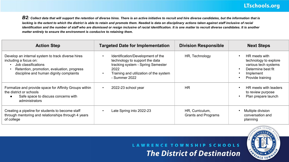B2: Collect data that will support the retention of diverse hires. There is an active initiative to recruit and hire diverse candidates, but the information that is lacking is the extent to which the district is able to retain and promote them. Needed is data on disciplinary actions taken against staff inclusive of racial identification and the number of staff who are dismissed or resign inclusive of racial identification. It is one matter to recruit diverse candidates. It is another *matter entirely to ensure the environment is conducive to retaining them.*

| <b>Action Step</b>                                                                                                                                                                         | <b>Targeted Date for Implementation</b>                                                                                                                                     | <b>Division Responsible</b>            | <b>Next Steps</b>                                                                                                     |
|--------------------------------------------------------------------------------------------------------------------------------------------------------------------------------------------|-----------------------------------------------------------------------------------------------------------------------------------------------------------------------------|----------------------------------------|-----------------------------------------------------------------------------------------------------------------------|
| Develop an internal system to track diverse hires<br>including a focus on:<br>Job classifications<br>Retention, promotion, evaluation, progress<br>discipline and human dignity complaints | Identification/Development of the<br>technology to support the data<br>tracking system - Spring Semester<br>2022<br>Training and utilization of the system<br>- Summer 2022 | HR, Technology                         | HR meets with<br>technology to explore<br>various tech systems<br>Determine best fit<br>Implement<br>Provide training |
| Formalize and provide space for Affinity Groups within<br>the district or schools<br>Safe space to discuss concerns with<br>administrators                                                 | 2022-23 school year<br>$\bullet$                                                                                                                                            | <b>HR</b>                              | HR meets with leaders<br>to review purpose<br>Plan prepare launch                                                     |
| Creating a pipeline for students to become staff<br>through mentoring and relationships through 4 years<br>of college                                                                      | Late Spring into 2022-23                                                                                                                                                    | HR. Curriculum.<br>Grants and Programs | Multiple division<br>conversation and<br>planning                                                                     |

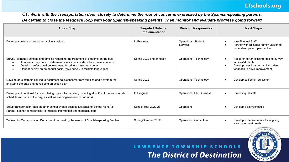### LTschools.org

*C1: Work with the Transportation dept. closely to determine the root of concerns expressed by the Spanish-speaking parents. Be certain to close the feedback loop with your Spanish-speaking parents. Then monitor and evaluate progress going forward.*

| <b>Action Step</b>                                                                                                                                                                                                                                                                                               | <b>Targeted Date for</b><br>Implementation | <b>Division Responsible</b>     | <b>Next Steps</b>                                                                                                                                   |
|------------------------------------------------------------------------------------------------------------------------------------------------------------------------------------------------------------------------------------------------------------------------------------------------------------------|--------------------------------------------|---------------------------------|-----------------------------------------------------------------------------------------------------------------------------------------------------|
| Develop a culture where parent voice is valued                                                                                                                                                                                                                                                                   | In Progress                                | Operations, Student<br>Services | <b>Hire Bilingual Staff</b><br>$\bullet$<br>Partner with Bilingual Family Liaison to<br>understand parent perspective                               |
| Survey (bilingual) schools and families regarding the treatment of students on the bus.<br>Analyze survey data to determine specific action steps to address concerns.<br>Develop professional development for drivers based on survey.<br>Repeat survey on an annual basis. (give survey in multiple languages) | Spring 2022 and annually                   | Operations, Technology          | Research for an existing tools to survey<br>families/students<br>Develop questions for family/student<br>$\bullet$<br>feedback to drive improvement |
| Develop an electronic call log to document calls/concerns from families and a system for<br>analyzing the data and developing an action plan                                                                                                                                                                     | Spring 2022                                | Operations, Technology          | Develop call/email log system<br>$\bullet$                                                                                                          |
| Develop an intentional focus on hiring more bilingual staff, including all shifts of the transportation<br>schedule (all parts of the day, as well as evenings/weekends for trips)                                                                                                                               | In Progress                                | Operations, HR, Business        | Hire bilingual staff<br>$\bullet$                                                                                                                   |
| Setup transportation table at other school events besides just Back to School night (i.e.<br>Parent/Teacher conferences) to increase information and feedback loop                                                                                                                                               | School Year 2022-23                        | Operations                      | Develop a plan/schedule<br>$\bullet$                                                                                                                |
| Training for Transportation Department on meeting the needs of Spanish-speaking families                                                                                                                                                                                                                         | Spring/Summer 2022                         | Operations, Curriculum          | Develop a plan/schedule for ongoing<br>$\bullet$<br>training to meet needs                                                                          |

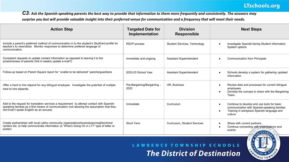### LTschools.org

*C3: Ask the Spanish-speaking parents the best way to provide that information to them more frequently and consistently. The answers may surprise you but will provide valuable insight into their preferred venue for communication and a frequency that will meet their needs.*

| <b>Action Step</b>                                                                                                                                                                                                                  | <b>Targeted Date for</b><br>Implementation | <b>Division</b><br><b>Responsible</b> | <b>Next Steps</b>                                                                                                                                    |
|-------------------------------------------------------------------------------------------------------------------------------------------------------------------------------------------------------------------------------------|--------------------------------------------|---------------------------------------|------------------------------------------------------------------------------------------------------------------------------------------------------|
| Include a parent's preferred method of communication in to the student's SkyWard profile for<br>teacher's to view/utilize. Monitor responses to determine prefered langauge of<br>communication.                                    | <b>RSVP</b> process                        | Student Services, Technology          | Investigate Spanish-facing Student Information<br>System options                                                                                     |
| Consistent requests to update contact information as opposed to leaving it to the<br>proactiveness of parents (link in weekly update e-mail?)                                                                                       | Immediate and ongoing                      | <b>Assistant Superintendent</b>       | <b>Communication from Principals</b>                                                                                                                 |
| Follow-up based on Parent Square report for "unable to be delivered" parents/quardians                                                                                                                                              | 2022-23 School Year                        | <b>Assistant Superintendent</b>       | Schools develop a system for gathering updated<br>information                                                                                        |
| Offer a hard to hire stipend for any bilingual employee. Investigate the potential of multiple<br>hard to hire stipends.                                                                                                            | Pre-Bargaining/Bargaining -<br>2022        | HR, Business                          | Review data and processes for current bilingual<br>employees<br>Develop the concept to share with the Bargaining<br>Team.                            |
| Add to the request for translation services a requirement to attempt contact with Spanish-<br>speaking families as a first means of communication (not allowing the assumption that they<br>don't/can't speak English as an excuse) | Immediate                                  | Curriculum                            | Continue to develop and use tools for basic<br>communication with Spanish-speaking families<br>Training in workplace Spanish language and<br>culture |
| Create partnerships with local Latino community organizations/businesses/neighborhood<br>centers etc. to help communicate information (a "What's Going On in LT?" type of letter or<br>poster)                                      | Short Term                                 | Curriculum. Student Services          | Share with current partners<br>Continue connecting with organizations and<br>events<br>HIEVEME                                                       |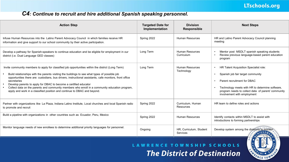### *C4: Continue to recruit and hire additional Spanish speaking personnel.*

| <b>Action Step</b>                                                                                                                                                                                                                                                                                                                                                                                                                                                                                                                                                                           | <b>Targeted Date for</b><br>Implementation | <b>Division</b><br><b>Responsible</b> | <b>Next Steps</b>                                                                                                                                                                                                                                                                                      |
|----------------------------------------------------------------------------------------------------------------------------------------------------------------------------------------------------------------------------------------------------------------------------------------------------------------------------------------------------------------------------------------------------------------------------------------------------------------------------------------------------------------------------------------------------------------------------------------------|--------------------------------------------|---------------------------------------|--------------------------------------------------------------------------------------------------------------------------------------------------------------------------------------------------------------------------------------------------------------------------------------------------------|
| Infuse Human Resources into the Latino Parent Advocacy Council in which families receive HR<br>information and give support to our school community by their active participation.                                                                                                                                                                                                                                                                                                                                                                                                           | Spring 2022                                | Human Resources                       | HR and Latino Parent Advocacy Council planning<br>meeting                                                                                                                                                                                                                                              |
| Develop a pathway for Spanish-speakers to continue education and be eligible for employment in our<br>district (i.e. Dual Language GED classes)                                                                                                                                                                                                                                                                                                                                                                                                                                              | Long Term                                  | Human Resources<br>Curriculum         | Mentor post MSDLT spanish speaking students<br>$\bullet$<br>Review previous language-based parent education<br>$\bullet$<br>program                                                                                                                                                                    |
| Invite community members to apply for classified job opportunities within the district (Long Term)<br>Build relationships with the parents visiting the buildings to see what types of possible job<br>opportunities there are: custodians, bus drivers, instructional assistants, cafe monitors, front office<br>secretaries<br>Develop parents to apply for DBAC to become a certified educator<br>$\bullet$<br>Collect data on the parents and community members who enroll in a community education program,<br>apply and work in a classified position and continue to DBAC and beyond. | Long Term                                  | Human Resources<br>Technology         | HR Talent Acquisition Specialist role:<br>$\bullet$<br>Spanish job fair target community<br>$\bullet$<br>Parent recruitment for DBAC<br>$\bullet$<br>Technology meets with HR to determine software,<br>$\bullet$<br>program needs to collect data of parent/ community<br>involvement with employment |
| Partner with organizations like La Plaza, Indiana Latino Institute, Local churches and local Spanish radio<br>to promote and recruit                                                                                                                                                                                                                                                                                                                                                                                                                                                         | Spring 2022                                | Curriculum, Human<br>Resources        | HR team to define roles and actions                                                                                                                                                                                                                                                                    |
| Build a pipeline with organizations in other countries such as Ecuador, Peru, Mexico                                                                                                                                                                                                                                                                                                                                                                                                                                                                                                         | Spring 2022                                | Human Resources                       | Identify contacts within MSDLT to assist with<br>introductions to forming partnerships                                                                                                                                                                                                                 |
| Monitor language needs of new enrollees to determine additional priority languages for personnel.                                                                                                                                                                                                                                                                                                                                                                                                                                                                                            | Ongoing                                    | HR, Curriculum, Student<br>Services   | Develop system among the divisions to monitor                                                                                                                                                                                                                                                          |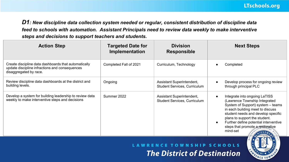*D1: New discipline data collection system needed or regular, consistent distribution of discipline data feed to schools with automation. Assistant Principals need to review data weekly to make interventive steps and decisions to support teachers and students.*

| <b>Action Step</b>                                                                                                               | <b>Targeted Date for</b><br>Implementation | <b>Division</b><br><b>Responsible</b>                            | <b>Next Steps</b>                                                                                                                                                                                                                                                                                                                 |
|----------------------------------------------------------------------------------------------------------------------------------|--------------------------------------------|------------------------------------------------------------------|-----------------------------------------------------------------------------------------------------------------------------------------------------------------------------------------------------------------------------------------------------------------------------------------------------------------------------------|
| Create discipline data dashboards that automatically<br>update discipline infractions and consequences<br>disaggregated by race. | Completed Fall of 2021                     | Curriculum, Technology                                           | Completed                                                                                                                                                                                                                                                                                                                         |
| Review discipline data dashboards at the district and<br>building levels.                                                        | Ongoing                                    | Assistant Superintendent,<br>Student Services, Curriculum        | Develop process for ongoing review<br>through principal PLC                                                                                                                                                                                                                                                                       |
| Develop a system for building leadership to review data<br>weekly to make interventive steps and decisions                       | Summer 2022                                | Assistant Superintendent,<br><b>Student Services, Curriculum</b> | Integrate into ongoing LaTISS<br>$\bullet$<br>(Lawrence Township Integrated<br>System of Support) system - teams<br>in each building meet to discuss<br>student needs and develop specific<br>plans to support the student.<br>Further define potential interventive<br>$\bullet$<br>steps that promote a restorative<br>mind-set |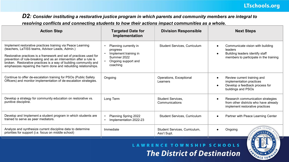*D2: Consider instituting a restorative justice program in which parents and community members are integral to* 

*resolving conflicts and connecting students to how their actions impact communities as a whole.*

| <b>Action Step</b>                                                                                                                                                                                                                                                                                                                                                                                 | <b>Targeted Date for</b><br>Implementation                                                                   | <b>Division Responsible</b>                  | <b>Next Steps</b>                                                                                                        |
|----------------------------------------------------------------------------------------------------------------------------------------------------------------------------------------------------------------------------------------------------------------------------------------------------------------------------------------------------------------------------------------------------|--------------------------------------------------------------------------------------------------------------|----------------------------------------------|--------------------------------------------------------------------------------------------------------------------------|
| Implement restorative practices training via Peace Learning<br>(teachers, LaTISS teams, Advisor Leads, Admin.)<br>Restorative practices is a framework and set of practices used for<br>prevention of rule-breaking and as an intervention after a rule is<br>broken. Restorative practices is a way of building community and<br>emphasizes repairing the harm done and rebuilding relationships. | Planning currently in<br>progress<br>Implement training in<br>Summer 2022<br>Ongoing support and<br>coaching | Student Services, Curriculum                 | Communicate vision with building<br>leaders<br>Building leaders identify staff<br>members to participate in the training |
| Continue to offer de-escalation training for PSOs (Public Safety<br>Officers) and monitor implementation of de-escalation strategies.                                                                                                                                                                                                                                                              | Ongoing                                                                                                      | Operations, Exceptional<br>Learners          | Review current training and<br>implementation practices<br>Develop a feedback process for<br>buildings and PSOs          |
| Develop a strategy for community education on restorative vs.<br>punitive discipline.                                                                                                                                                                                                                                                                                                              | Long Term                                                                                                    | <b>Student Services.</b><br>Communications   | Research communication strategies<br>from other districts who have already<br>implement restorative practices            |
| Develop and Implement a student program in which students are<br>trained to serve as peer mediators.                                                                                                                                                                                                                                                                                               | Planning Spring 2022<br>Implementation 2022-23                                                               | Student Services, Curriculum                 | Partner with Peace Learning Center                                                                                       |
| Analyze and synthesize current discipline data to determine<br>priorities for support (i.e. focus on middle school)                                                                                                                                                                                                                                                                                | Immediate                                                                                                    | Student Services, Curriculum,<br>Ass't Supt. | Ongoing                                                                                                                  |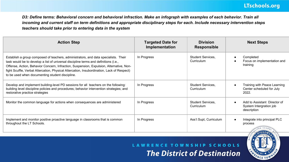*D3: Define terms: Behavioral concern and behavioral infraction. Make an infograph with examples of each behavior. Train all incoming and current staff on term definitions and appropriate disciplinary steps for each. Include necessary intervention steps teachers should take prior to entering data in the system*

| <b>Action Step</b>                                                                                                                                                                                                                                                                                                                                                                                                      | <b>Targeted Date for</b><br>Implementation | <b>Division</b><br><b>Responsible</b>  | <b>Next Steps</b>                                                      |
|-------------------------------------------------------------------------------------------------------------------------------------------------------------------------------------------------------------------------------------------------------------------------------------------------------------------------------------------------------------------------------------------------------------------------|--------------------------------------------|----------------------------------------|------------------------------------------------------------------------|
| Establish a group composed of teachers, administrators, and data specialists. Their<br>task would be to develop a list of universal discipline terms and definitions (i.e.,<br>Offense, Action, Behavior Concern, Infraction, Suspension, Expulsion, Alternative, Non-<br>fight Scuffle, Verbal Altercation, Physical Altercation, Insubordination, Lack of Respect)<br>to be used when documenting student discipline. | In Progress                                | <b>Student Services,</b><br>Curriculum | Completed<br>Focus on implementation and<br>training                   |
| Develop and implement building-level PD sessions for all teachers on the following:<br>building level discipline policies and procedures; behavior intervention strategies; and<br>restorative practice strategies                                                                                                                                                                                                      | In Progress                                | <b>Student Services,</b><br>Curriculum | Training with Peace Learning<br>Center scheduled for July<br>2022.     |
| Monitor the common language for actions when consequences are administered                                                                                                                                                                                                                                                                                                                                              | In Progress                                | Student Services,<br>Curriculum        | Add to Assistant Director of<br>System Intergration job<br>description |
| Implement and monitor positive proactive language in classrooms that is common<br>throughout the LT Schools.                                                                                                                                                                                                                                                                                                            | In Progress                                | Ass't Supt, Curriculum                 | Integrate into principal PLC<br>process                                |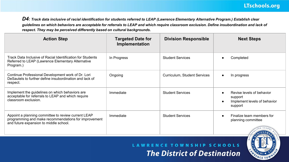*D4: Track data inclusive of racial identification for students referred to LEAP (Lawrence Elementary Alternative Program.) Establish clear guidelines on which behaviors are acceptable for referrals to LEAP and which require classroom exclusion. Define insubordination and lack of respect. They may be perceived differently based on cultural backgrounds.*

| <b>Action Step</b>                                                                                                                                    | <b>Targeted Date for</b><br>Implementation | <b>Division Responsible</b>  | <b>Next Steps</b>                                                               |
|-------------------------------------------------------------------------------------------------------------------------------------------------------|--------------------------------------------|------------------------------|---------------------------------------------------------------------------------|
| Track Data Inclusive of Racial Identification for Students<br>Referred to LEAP (Lawrence Elementary Alternative<br>Program.)                          | In Progress                                | <b>Student Services</b>      | Completed                                                                       |
| Continue Professional Development work of Dr. Lori<br>DeSautels to further define insubordination and lack of<br>respect.                             | Ongoing                                    | Curriculum, Student Services | In progress                                                                     |
| Implement the guidelines on which behaviors are<br>acceptable for referrals to LEAP and which require<br>classroom exclusion.                         | Immediate                                  | <b>Student Services</b>      | Revise levels of behavior<br>support<br>Implement levels of behavior<br>support |
| Appoint a planning committee to review current LEAP<br>programming and make recommendations for improvement<br>and future expansion to middle school. | Immediate                                  | <b>Student Services</b>      | Finalize team members for<br>planning committee                                 |

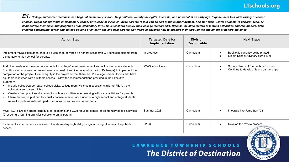### **LTschools.org**

*E1: College and career readiness can begin at elementary school. Help children identify their gifts, interests, and potential at an early age. Expose them to a wide variety of career choices. Begin college visits in elementary school physically or virtually. Invite parents to join you as part of the support system. Ask McKenzie Center students to perform, feed, or demonstrate their skills and programs at the elementary level. Have teachers display their college memorabilia. Discuss the alma maters of famous celebrities and role models. Start children considering career and college options at an early age and help parents plan years in advance how to support them through the attainment of honors diplomas.*

| <b>Action Step</b>                                                                                                                                                                                                                                                                                                                                                                                                                                                                                                                                                                                                                                                                                                                                                                                                                                                                                      | <b>Targeted Date for</b><br>Implementation | <b>Division</b><br>Responsible | <b>Next Steps</b>                                                             |
|---------------------------------------------------------------------------------------------------------------------------------------------------------------------------------------------------------------------------------------------------------------------------------------------------------------------------------------------------------------------------------------------------------------------------------------------------------------------------------------------------------------------------------------------------------------------------------------------------------------------------------------------------------------------------------------------------------------------------------------------------------------------------------------------------------------------------------------------------------------------------------------------------------|--------------------------------------------|--------------------------------|-------------------------------------------------------------------------------|
| Implement MSDLT document that is a guide sheet towards an honors (Academic & Technical) diploma from<br>elementary to high school for parents.                                                                                                                                                                                                                                                                                                                                                                                                                                                                                                                                                                                                                                                                                                                                                          | In progress                                | Curriculum                     | Booklet is currently being printed.<br>Middle School Advisory curriculum      |
| Audit the needs of our elementary schools for college/career environment and utilize secondary students<br>from those schools (alumni) as volunteers in need of service hours (Graduation Pathways) to implement the<br>completion of the project. Ensure equity in the project so that there are 11 College/Career Rooms that have<br>equitable resources with equitable access. Follow the recommendations provided in the Executive<br>Summary.<br>Include college/career days, college visits, college room visits as a specials (similar to PE, Art, etc.)<br>college/career parent nights<br>Create a best practices document for schools to utilize when working with social activities for parents.<br>Utilize the Nepris platform to virtually connect elementary students to high school and college students<br>٠<br>as well a professionals with particular focus on same-race connections. | 22-23 school year                          | Curriculum                     | Survey Needs of Elementary Schools<br>Continue to develop Nepris partnerships |
| MCIT, LC, & LN can create schedule of "academic and CCR-focused camps" or elementary-based activities<br>(21st century learning grant) for schools to participate in.                                                                                                                                                                                                                                                                                                                                                                                                                                                                                                                                                                                                                                                                                                                                   | Summer 2023                                | Curriculum                     | Integrate into JumpStart "23                                                  |
| Implement a comprehensive review of the elementary high ability program through the lens of equitable<br>access.                                                                                                                                                                                                                                                                                                                                                                                                                                                                                                                                                                                                                                                                                                                                                                                        | 22-23                                      | Curriculum                     | Develop the review process                                                    |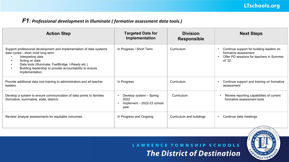### *F1: Professional development in Illuminate ( formative assessment data tools.)*

| <b>Action Step</b>                                                                                                                                                                                                                                                                  | <b>Targeted Date for</b><br>Implementation                            | <b>Division</b><br><b>Responsible</b> | <b>Next Steps</b>                                                                                                                    |
|-------------------------------------------------------------------------------------------------------------------------------------------------------------------------------------------------------------------------------------------------------------------------------------|-----------------------------------------------------------------------|---------------------------------------|--------------------------------------------------------------------------------------------------------------------------------------|
| Support professional development and implementation of data systems<br>data cycles - short /mid/ long term<br>Interpreting data<br>Acting on data<br>Data tools (Illuminate, FastBridge, I-Ready etc.)<br>Building leadership to provide accountability to ensure<br>implementation | In Progress / Short Term                                              | Curriculum                            | Continue support for building leaders on<br>formative assessment<br>Offer PD sessions for teachers in Summer<br>$\bullet$<br>of '22. |
| Provide additional data tool training to administrators and all teacher<br>leaders                                                                                                                                                                                                  | In Progress                                                           | Curriculum                            | Continue support and training on formative<br>assessment                                                                             |
| Develop a system to ensure communication of data points to families<br>(formative, summative, state, district)                                                                                                                                                                      | Develop system - Spring<br>2022<br>Implement - 2022-23 school<br>year | Curriculum                            | Review reporting capabilities of current<br>formative assessment tools                                                               |
| Review/ analyze assessments for equitable outcomes                                                                                                                                                                                                                                  | In Progress and Ongoing                                               | Curriculum and buildings              | Continue data meetings<br>$\bullet$<br>1.52                                                                                          |

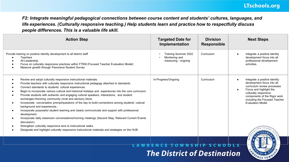*F2: Integrate meaningful pedagogical connections between course content and students' cultures, languages, and life experiences. (Culturally responsive teaching.) Help students learn and practice how to respectfully discuss people differences. This is a valuable life skill.*

| <b>Action Step</b>                                                                                                                                                                                                                                                                                                                                                                                                                                                                                                                                                                                                                                                                                                                                                                                                                                                                                                                                                                                                                                | <b>Targeted Date for</b><br>Implementation                    | <b>Division</b><br><b>Responsible</b> | <b>Next Steps</b>                                                                                                                                                                                                                    |
|---------------------------------------------------------------------------------------------------------------------------------------------------------------------------------------------------------------------------------------------------------------------------------------------------------------------------------------------------------------------------------------------------------------------------------------------------------------------------------------------------------------------------------------------------------------------------------------------------------------------------------------------------------------------------------------------------------------------------------------------------------------------------------------------------------------------------------------------------------------------------------------------------------------------------------------------------------------------------------------------------------------------------------------------------|---------------------------------------------------------------|---------------------------------------|--------------------------------------------------------------------------------------------------------------------------------------------------------------------------------------------------------------------------------------|
| Provide training on positive identity development to all district staff<br><b>Teachers</b><br>All Leadership<br>Focus on culturally responsive practices within FTEM (Focused Teacher Evaluation Model)<br>Measure growth through Panorama Student Survey                                                                                                                                                                                                                                                                                                                                                                                                                                                                                                                                                                                                                                                                                                                                                                                         | Training Summer 2022<br>Monitoring and<br>measuring - ongoing | Curriculum                            | Integrate a positive identity<br>development focus into all<br>professional development<br>activities.                                                                                                                               |
| Review and adopt culturally responsive instructional materials.<br>Provide teachers with culturally responsive instructional pedagogy attached to standards.<br>Connect standards to students' cultural experiences.<br>Begin to incorporate various cultural and historical holidays and experiences into the core curriculum.<br>Provide students with authentic and engaging cultural speakers, interactions, and student<br>exchanges. Honoring community circle and advisory block.<br>Incorporate conversation prompt/questions of the day to build connections among students' cultural<br>$\bullet$<br>background and experiences<br>Incorporate purposeful student teaming and clearly communicate and support with professional<br>development.<br>Incorporate daily classroom conversations/morning meetings (Second Step, Relevant Current Events<br>discussion)<br>Strengthen culturally responsive lens to instructional walks.<br>Designate and highlight culturally responsive instructional materials and strategies on the HUB. | In-Progress/Ongoing                                           | Curriculum                            | Integrate a positive identity<br>development focus into all<br>curriculum review processes<br>Focus and highlight the<br>culturally responsive<br>components of the Rigor work<br>including the Focused Teacher<br>Evaluation Model. |
|                                                                                                                                                                                                                                                                                                                                                                                                                                                                                                                                                                                                                                                                                                                                                                                                                                                                                                                                                                                                                                                   |                                                               |                                       |                                                                                                                                                                                                                                      |

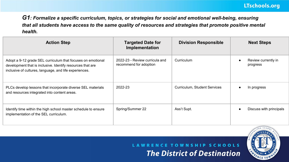*G1: Formalize a specific curriculum, topics, or strategies for social and emotional well-being, ensuring that all students have access to the same quality of resources and strategies that promote positive mental health.*

| <b>Action Step</b>                                                                                                                                                                  | <b>Targeted Date for</b><br>Implementation               | <b>Division Responsible</b>  | <b>Next Steps</b>               |
|-------------------------------------------------------------------------------------------------------------------------------------------------------------------------------------|----------------------------------------------------------|------------------------------|---------------------------------|
| Adopt a 9-12 grade SEL curriculum that focuses on emotional<br>development that is inclusive. Identify resources that are<br>inclusive of cultures, language, and life experiences. | 2022-23 - Review curricula and<br>recommend for adoption | Curriculum                   | Review currently in<br>progress |
| PLCs develop lessons that incorporate diverse SEL materials<br>and resources integrated into content areas.                                                                         | 2022-23                                                  | Curriculum, Student Services | In progress                     |
| Identify time within the high school master schedule to ensure<br>implementation of the SEL curriculum.                                                                             | Spring/Summer 22                                         | Ass't Supt.                  | Discuss with principals         |

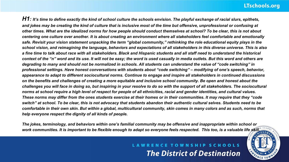### **LTschools.org**

*H1: It's time to define exactly the kind of school culture the schools envision. The playful exchange of racial slurs, epithets, and jokes may be creating the kind of culture that is inclusive most of the time but offensive, unprofessional or confusing at other times. What are the idealized norms for how people should conduct themselves at school? To be clear, this is not about centering one culture over another. It is about creating an environment where all stakeholders feel comfortable and emotionally safe. Revisit your vision statement unpacking the term "global community," rethinking the role educational equity plays in the school vision, and reimagining the language, behaviors and expectations of all stakeholders in this diverse universe. This is also a fine time to talk about race with all stakeholders. Black and Hispanic students and all staff need to understand the historical context of the "n" word and its use. It will not be easy; the word is used casually in media outlets. But this word and others are degrading to many and should not be normalized in schools. All students can understand the value of "code switching" in professional settings. Have honest conversations with students about "code switching" – modifying of one's speech, behavior, appearance to adapt to different sociocultural norms. Continue to engage and inspire all stakeholders in continued discussions on the benefits and challenges of creating a more equitable and inclusive school community. Be open and honest about the challenges you will face in doing so, but inspiring in your resolve to do so with the support of all stakeholders. The sociocultural norms at school require a high level of respect for people of all ethnicities, racial and gender identities, and cultural values. These norms may differ from the ones students exercise at their homes or in their communities. It may require that they "code switch" at school. To be clear, this is not advocacy that students abandon their authentic cultural selves. Students need to be comfortable in their own skin. But within a global, multicultural community, skin comes in many colors and as such, norms that help everyone respect the dignity of all kinds of people.*

*The jokes, terminology, and behaviors within one's familial community may be offensive and inappropriate within school or work communities. It is important to be flexible enough to adapt so everyone feels respected. This too, is a valuable life skill.*

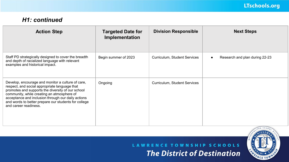### *H1: continued*

| <b>Action Step</b>                                                                                                                                                                                                                                                                                                                           | <b>Targeted Date for</b><br>Implementation | <b>Division Responsible</b>  | <b>Next Steps</b>              |
|----------------------------------------------------------------------------------------------------------------------------------------------------------------------------------------------------------------------------------------------------------------------------------------------------------------------------------------------|--------------------------------------------|------------------------------|--------------------------------|
| Staff PD strategically designed to cover the breadth<br>and depth of racialized language with relevant<br>examples and historical impact.                                                                                                                                                                                                    | Begin summer of 2023                       | Curriculum, Student Services | Research and plan during 22-23 |
| Develop, encourage and monitor a culture of care,<br>respect, and social appropriate language that<br>promotes and supports the diversity of our school<br>community, while creating an atmosphere of<br>acceptance and inclusion through our daily actions<br>and words to better prepare our students for college<br>and career readiness. | Ongoing                                    | Curriculum, Student Services |                                |

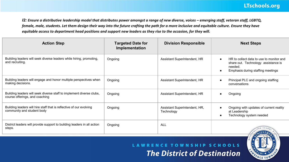*I2: Ensure a distributive leadership model that distributes power amongst a range of new diverse, voices – emerging staff, veteran staff, LGBTQ, female, male, students. Let them design their way into the future crafting the path for a more inclusive and equitable culture. Ensure they have equitable access to department head positions and support new leaders as they rise to the occasion, for they will.*

| <b>Action Step</b>                                                                                     | <b>Targeted Date for</b><br>Implementation | <b>Division Responsible</b>                 | <b>Next Steps</b>                                                                                                                            |
|--------------------------------------------------------------------------------------------------------|--------------------------------------------|---------------------------------------------|----------------------------------------------------------------------------------------------------------------------------------------------|
| Building leaders will seek diverse leaders while hiring, promoting,<br>and recruiting.                 | Ongoing                                    | Assistant Superintendent, HR                | HR to collect data to use to monitor and<br>share out. Technology assistance is<br>needed.<br>Emphasis during staffing meetings<br>$\bullet$ |
| Building leaders will engage and honor multiple perspectives when<br>making decisions.                 | Ongoing                                    | Assistant Superintendent, HR                | Principal PLC and ongoing staffing<br>conversations                                                                                          |
| Building leaders will seek diverse staff to implement diverse clubs,<br>course offerings, and coaching | Ongoing                                    | Assistant Superintendent, HR                | Ongoing                                                                                                                                      |
| Building leaders will hire staff that is reflective of our evolving<br>community and student body      | Ongoing                                    | Assistant Superintendent, HR,<br>Technology | Ongoing with updates of current reality<br>at Leadership<br>Technology system needed<br>٠                                                    |
| District leaders will provide support to building leaders in all action<br>steps.                      | Ongoing                                    | ALL                                         | <b>IEVEM</b>                                                                                                                                 |

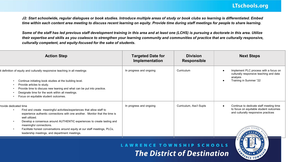#### LTschools.org

J2: Start schoolwide, regular dialogues or book studies. Introduce multiple areas of study or book clubs so learning is differentiated. Embed *time within each content area meeting to discuss recent learning on equity. Provide time during staff meetings for people to share learning.*

*Some of the staff has led previous staff development training in this area and at least one (LCHS) is pursuing a doctorate in this area. Utilize their expertise and skills as you coalesce to strengthen your learning community and communities of practice that are culturally responsive, culturally competent, and equity-focused for the sake of students.*

| <b>Action Step</b>                                                                                                                                                                                                                                                                                                                                                                                                                       | <b>Targeted Date for</b><br>Implementation | <b>Division</b><br><b>Responsible</b> | <b>Next Steps</b>                                                                                                        |
|------------------------------------------------------------------------------------------------------------------------------------------------------------------------------------------------------------------------------------------------------------------------------------------------------------------------------------------------------------------------------------------------------------------------------------------|--------------------------------------------|---------------------------------------|--------------------------------------------------------------------------------------------------------------------------|
| t definition of equity and culturally responsive teaching in all meetings<br>Continue initiating book studies at the building level.<br>Provide articles to study.<br>Provide time to discuss new leaning and what can be put into practice.<br>Designate time for the work within all meetings.<br>Focus on equitable student outcomes.                                                                                                 | In progress and ongoing                    | Curriculum                            | Implement PLC process with a focus on<br>culturally responsive teaching and data<br>analysis<br>Training in Summer "22   |
| rovide dedicated time<br>Find and create meaningful activities/experiences that allow staff to<br>٠<br>experience authentic connections with one another. Monitor that the time is<br>well utilized.<br>Develop a consensus around AUTHENTIC experiences to create lasting and<br>meaningful connections.<br>Facilitate honest conversations around equity at our staff meetings, PLCs,<br>leadership meetings, and department meetings. | In progress and ongoing                    | Curriculum, Ass't Supts               | Continue to dedicate staff meeting time<br>to focus on equitable student outcomes<br>and culturally responsive practices |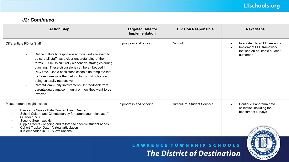### LTschools.org

#### *J2: Continued*

| <b>Action Step</b>                                                                                                                                                                                                                                                                                                                                                                                                                                                                                                                                    | <b>Targeted Date for</b><br>Implementation | <b>Division Responsible</b>  | <b>Next Steps</b>                                                                                     |
|-------------------------------------------------------------------------------------------------------------------------------------------------------------------------------------------------------------------------------------------------------------------------------------------------------------------------------------------------------------------------------------------------------------------------------------------------------------------------------------------------------------------------------------------------------|--------------------------------------------|------------------------------|-------------------------------------------------------------------------------------------------------|
| Differentiate PD for Staff<br>Define culturally responsive and culturally relevant to<br>$\bullet$<br>be sure all staff has a clear understanding of the<br>terms. Discuss culturally responsive strategies during<br>planning. These discussions can be embedded in<br>PLC time. Use a consistent lesson plan template that<br>includes questions that help to focus instruction on<br>being culturally responsive.<br>Parent/Community Involvement-Get feedback from<br>$\bullet$<br>parents/guardians/community on how they want to be<br>involved | In progress and ongoing                    | Curriculum                   | Integrate into all PD sessions<br>Implement PLC framework<br>focused on equitable student<br>outcomes |
| Measurements might include<br>Panorama Survey Data Quarter 1 and Quarter 3<br>School Culture and Climate survey for parents/guardians/staff<br>Quarter 1 & 3<br>Second Step - weekly<br>$\bullet$<br>Ripple Effects - ongoing and tailored to specific student needs<br>Cohort Tracker Data - Virtual articulation<br>It is embedded in FTEM evaluations                                                                                                                                                                                              | In progress and ongoing                    | Curriculum, Student Services | Continue Panorama data<br>collection including the<br>benchmark surveys                               |

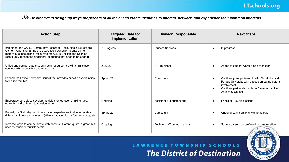*J3: Be creative in designing ways for parents of all racial and ethnic identities to interact, network, and experience their common interests.*

| <b>Action Step</b>                                                                                                                                                                                                                                                            | <b>Targeted Date for</b><br>Implementation | <b>Division Responsible</b> | <b>Next Steps</b>                                                                                                                                                                                               |
|-------------------------------------------------------------------------------------------------------------------------------------------------------------------------------------------------------------------------------------------------------------------------------|--------------------------------------------|-----------------------------|-----------------------------------------------------------------------------------------------------------------------------------------------------------------------------------------------------------------|
| Implement the CARE (Community Access to Resources & Education)<br>Center - Orienting families to Lawrence Township - create same<br>materials, expectations, resources for ALL in English and Spanish<br>(continually monitoring additional languages that need to be added). | In Progress                                | <b>Student Services</b>     | In progress                                                                                                                                                                                                     |
| Utilize and compensate students as a resource, providing translation<br>services where possible and appropriate                                                                                                                                                               | 2022-23                                    | HR, Business                | Added to student worker job description                                                                                                                                                                         |
| Expand the Latino Advocacy Council that provides specific opportunities<br>for Latino families                                                                                                                                                                                | Spring 22                                  | Curriculum                  | Continue grant partnership with Dr. Morita and<br>$\bullet$<br>Purdue University with a focus on Latino parent<br>involvement<br>Continue partnership with La Plaza for Lattino<br>٠<br><b>Advocacy Council</b> |
| Encourage schools to develop multiple themed events taking race,<br>ethnicity, and culture into consideration                                                                                                                                                                 | Ongoing                                    | Assistant Superintendent    | Principal PLC discussions<br>$\bullet$                                                                                                                                                                          |
| Redesign a "field day" or other existing experiences that incorporates<br>different cultures and interests (athletic, academic, performance arts, etc                                                                                                                         | Spring 22                                  | Curriculum                  | Ongoing conversations with principals                                                                                                                                                                           |
| Increase ways to communicate with parents. ParentSquare is great, but<br>need to consider multiple forms                                                                                                                                                                      | Ongoing                                    | Technology/Communications   | Survey parents on preferred communication<br><b>IFVEA</b>                                                                                                                                                       |

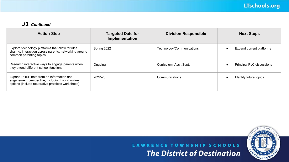#### *J3: Continued*

| <b>Action Step</b>                                                                                                                               | <b>Targeted Date for</b><br>Implementation | <b>Division Responsible</b> | <b>Next Steps</b>         |
|--------------------------------------------------------------------------------------------------------------------------------------------------|--------------------------------------------|-----------------------------|---------------------------|
| Explore technology platforms that allow for idea<br>sharing, interaction across parents, networking around<br>common parenting topics.           | Spring 2022                                | Technology/Communications   | Expand current platforms  |
| Research interactive ways to engage parents when<br>they attend different school functions                                                       | Ongoing                                    | Curriculum, Ass't Supt.     | Principal PLC discussions |
| Expand PREP both from an information and<br>engagement perspective, including hybrid online<br>options (include restorative practices workshops) | 2022-23                                    | Communications              | Identify future topics    |

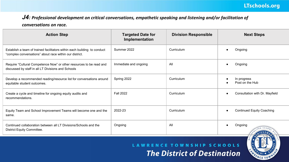### *J4: Professional development on critical conversations, empathetic speaking and listening and/or facilitation of*

#### *conversations on race.*

| <b>Action Step</b>                                                                                                                  | <b>Targeted Date for</b><br>Implementation | <b>Division Responsible</b> | <b>Next Steps</b>                |
|-------------------------------------------------------------------------------------------------------------------------------------|--------------------------------------------|-----------------------------|----------------------------------|
| Establish a team of trained facilitators within each building to conduct<br>"complex conversations" about race within our district. | Summer 2022                                | Curriculum                  | Ongoing                          |
| Require "Cultural Competence Now" or other resources to be read and<br>discussed by staff in all LT Divisions and Schools           | Immediate and ongoing                      | All                         | Ongoing<br>$\bullet$             |
| Develop a recommended reading/resource list for conversations around<br>equitable student outcomes.                                 | Spring 2022                                | Curriculum                  | In progress<br>Post on the Hub   |
| Create a cycle and timeline for ongoing equity audits and<br>recommendations.                                                       | <b>Fall 2022</b>                           | Curriculum                  | Consultation with Dr. Mayfield   |
| Equity Team and School Improvement Teams will become one and the<br>same.                                                           | 2022-23                                    | Curriculum                  | <b>Continued Equity Coaching</b> |
| Continued collaboration between all LT Divisions/Schools and the<br>District Equity Committee.                                      | Ongoing                                    | All                         | Ongoing                          |

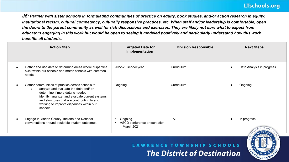*J5: Partner with sister schools in formulating communities of practice on equity, book studies, and/or action research in equity, institutional racism, cultural competency, culturally responsive practices, etc. When staff and/or leadership is comfortable, open the doors to the parent community as well for rich discussions and exercises. They are likely not sure what to expect from educators engaging in this work but would be open to seeing it modeled positively and particularly understand how this work benefits all students.*

| <b>Action Step</b>                                                                                                                                                                                                                                                                                              | <b>Targeted Date for</b><br>Implementation                | <b>Division Responsible</b> | <b>Next Steps</b>         |
|-----------------------------------------------------------------------------------------------------------------------------------------------------------------------------------------------------------------------------------------------------------------------------------------------------------------|-----------------------------------------------------------|-----------------------------|---------------------------|
| Gather and use data to determine areas where disparities<br>exist within our schools and match schools with common<br>needs                                                                                                                                                                                     | 2022-23 school year                                       | Curriculum                  | Data Analysis in progress |
| Gather communities of practice across schools to<br>analyze and evaluate the data and/ or<br>$\circ$<br>determine if more data is needed.<br>identify, analyze, and evaluate current systems<br>$\circ$<br>and structures that are contributing to and<br>working to improve disparities within our<br>schools. | Ongoing                                                   | Curriculum                  | Ongoing                   |
| Engage in Marion County, Indiana and National<br>conversations around equitable student outcomes.                                                                                                                                                                                                               | Ongoing<br>ASCD conference presentation<br>$-$ March 2021 | All                         | In progress               |